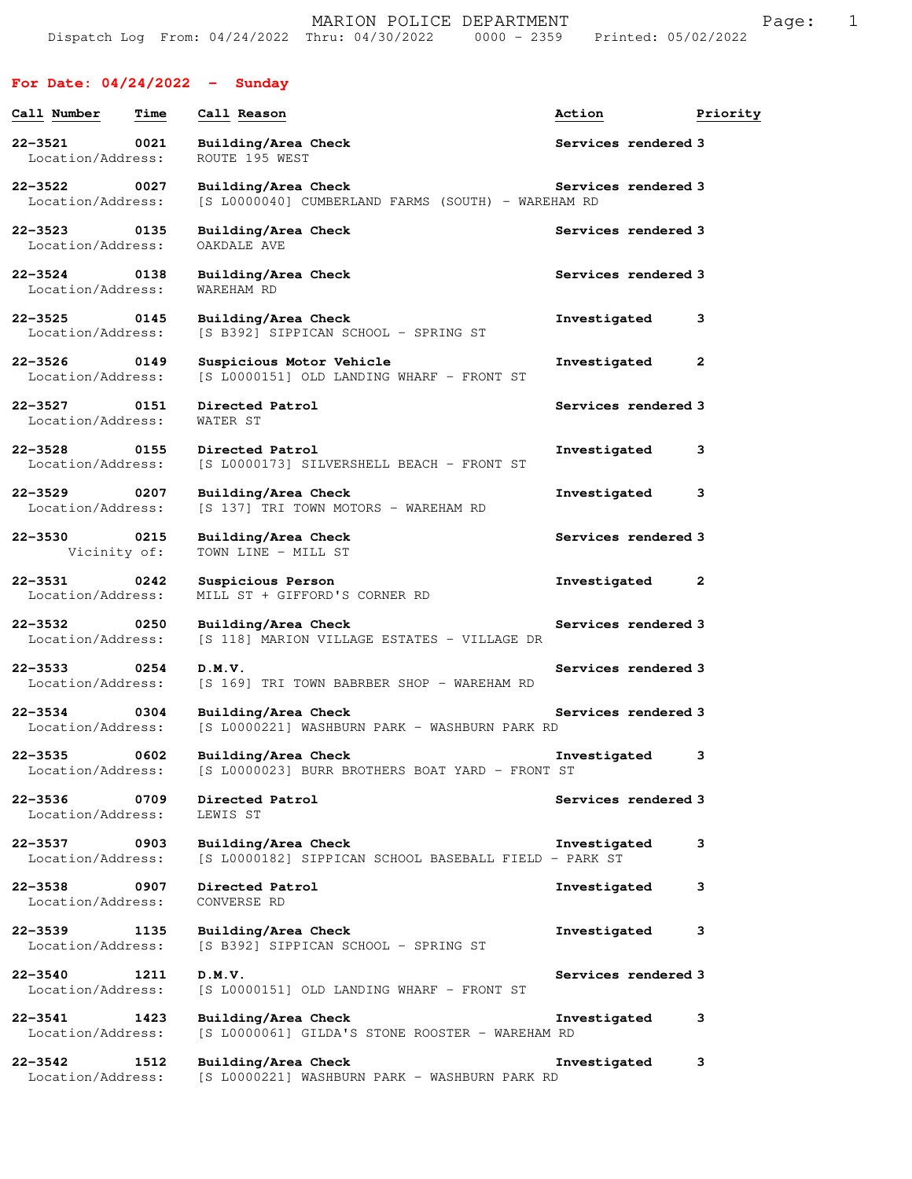## **For Date: 04/24/2022 - Sunday**

| Call Number                                           | Time | Call Reason                                                                  | Action              | Priority |
|-------------------------------------------------------|------|------------------------------------------------------------------------------|---------------------|----------|
| $22 - 3521$<br>Location/Address:                      | 0021 | Building/Area Check<br>ROUTE 195 WEST                                        | Services rendered 3 |          |
| $22 - 3522$<br>$\overline{0027}$<br>Location/Address: |      | Building/Area Check<br>[S L0000040] CUMBERLAND FARMS (SOUTH) - WAREHAM RD    | Services rendered 3 |          |
| $22 - 3523$<br>Location/Address:                      | 0135 | Building/Area Check<br>OAKDALE AVE                                           | Services rendered 3 |          |
| $22 - 3524$<br>0138<br>Location/Address:              |      | Building/Area Check<br>WAREHAM RD                                            | Services rendered 3 |          |
| $22 - 3525$<br>Location/Address:                      | 0145 | Building/Area Check<br>[S B392] SIPPICAN SCHOOL - SPRING ST                  | Investigated        | з        |
| $22 - 3526$<br>Location/Address:                      | 0149 | Suspicious Motor Vehicle<br>[S L0000151] OLD LANDING WHARF - FRONT ST        | Investigated        | 2        |
| $22 - 3527$<br>Location/Address:                      | 0151 | Directed Patrol<br>WATER ST                                                  | Services rendered 3 |          |
| $22 - 3528$<br>Location/Address:                      | 0155 | Directed Patrol<br>[S L0000173] SILVERSHELL BEACH - FRONT ST                 | Investigated        | 3        |
| $22 - 3529$<br>Location/Address:                      | 0207 | Building/Area Check<br>[S 137] TRI TOWN MOTORS - WAREHAM RD                  | Investigated        | з        |
| $22 - 3530$<br>Vicinity of:                           | 0215 | Building/Area Check<br>TOWN LINE - MILL ST                                   | Services rendered 3 |          |
| $22 - 3531$<br>Location/Address:                      | 0242 | Suspicious Person<br>MILL ST + GIFFORD'S CORNER RD                           | Investigated        | 2        |
| 22-3532<br>$\sim$ 0250<br>Location/Address:           |      | Building/Area Check<br>[S 118] MARION VILLAGE ESTATES - VILLAGE DR           | Services rendered 3 |          |
| $22 - 3533$<br>Location/Address:                      | 0254 | D.M.V.<br>[S 169] TRI TOWN BABRBER SHOP - WAREHAM RD                         | Services rendered 3 |          |
| $22 - 3534$<br>Location/Address:                      | 0304 | Building/Area Check<br>[S L0000221] WASHBURN PARK - WASHBURN PARK RD         | Services rendered 3 |          |
| $22 - 3535$<br>Location/Address:                      | 0602 | Building/Area Check<br>[S L0000023] BURR BROTHERS BOAT YARD - FRONT ST       | Investigated        | 3        |
| 22-3536<br>Location/Address:                          | 0709 | Directed Patrol<br>LEWIS ST                                                  | Services rendered 3 |          |
| 22-3537<br>$\sim$ 0903<br>Location/Address:           |      | Building/Area Check<br>[S L0000182] SIPPICAN SCHOOL BASEBALL FIELD - PARK ST | Investigated        | з        |
| 22-3538 0907<br>Location/Address:                     |      | Directed Patrol<br>CONVERSE RD                                               | Investigated        | з        |
| 22-3539<br>Location/Address:                          | 1135 | Building/Area Check<br>[S B392] SIPPICAN SCHOOL - SPRING ST                  | Investigated        | з        |
| 22-3540 1211<br>Location/Address:                     |      | D.M.V.<br>[S L0000151] OLD LANDING WHARF - FRONT ST                          | Services rendered 3 |          |
| $22 - 3541$<br>Location/Address:                      | 1423 | Building/Area Check<br>[S L0000061] GILDA'S STONE ROOSTER - WAREHAM RD       | Investigated        | 3        |
| 22-3542 1512<br>Location/Address:                     |      | Building/Area Check<br>[S L0000221] WASHBURN PARK - WASHBURN PARK RD         | Investigated        | 3        |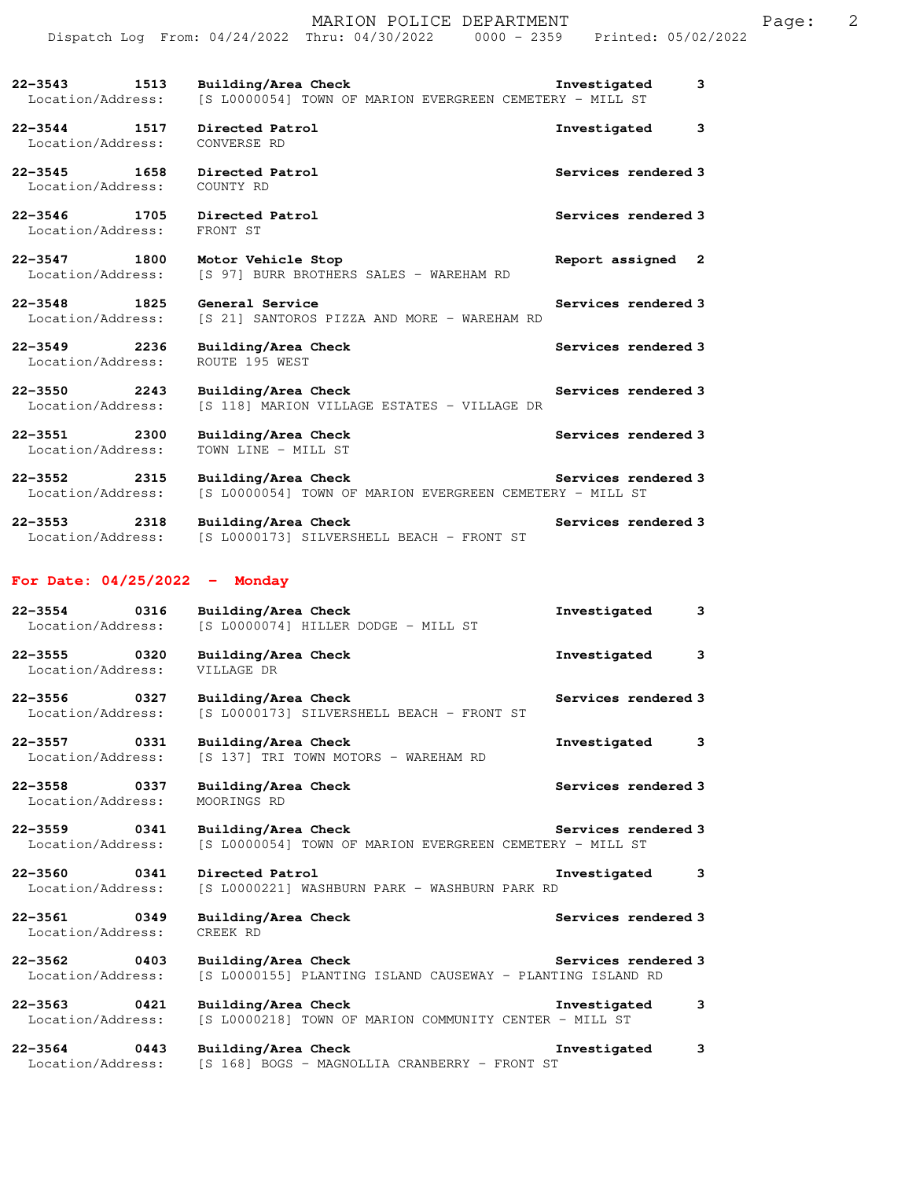| 22-3543<br>1513<br>Location/Address:                    | Building/Area Check<br>[S L0000054] TOWN OF MARION EVERGREEN CEMETERY - MILL ST    | Investigated<br>3   |
|---------------------------------------------------------|------------------------------------------------------------------------------------|---------------------|
| $22 - 3544$<br>1517<br>Location/Address:                | Directed Patrol<br>CONVERSE RD                                                     | 3<br>Investigated   |
| 22-3545<br>1658<br>Location/Address:                    | Directed Patrol<br>COUNTY RD                                                       | Services rendered 3 |
| $22 - 3546$<br>1705<br>Location/Address:                | Directed Patrol<br>FRONT ST                                                        | Services rendered 3 |
| $22 - 3547$<br>1800<br>Location/Address:                | Motor Vehicle Stop<br>[S 97] BURR BROTHERS SALES - WAREHAM RD                      | Report assigned 2   |
| $22 - 3548$<br>$\frac{1825}{2000}$<br>Location/Address: | General Service<br>[S 21] SANTOROS PIZZA AND MORE - WAREHAM RD                     | Services rendered 3 |
| 22-3549<br>2236<br>Location/Address:                    | Building/Area Check<br>ROUTE 195 WEST                                              | Services rendered 3 |
| $22 - 3550$<br>2243<br>Location/Address:                | Building/Area Check<br>[S 118] MARION VILLAGE ESTATES - VILLAGE DR                 | Services rendered 3 |
| $22 - 3551$<br>2300<br>Location/Address:                | Building/Area Check<br>TOWN LINE - MILL ST                                         | Services rendered 3 |
| $22 - 3552$<br>2315<br>Location/Address:                | Building/Area Check<br>[S L0000054] TOWN OF MARION EVERGREEN CEMETERY - MILL ST    | Services rendered 3 |
| $22 - 3553$<br>2318<br>Location/Address:                | Building/Area Check<br>[S L0000173] SILVERSHELL BEACH - FRONT ST                   | Services rendered 3 |
|                                                         |                                                                                    |                     |
| For Date: $04/25/2022 -$ Monday                         |                                                                                    |                     |
| $22 - 3554$<br>0316<br>Location/Address:                | Building/Area Check<br>[S L0000074] HILLER DODGE - MILL ST                         | Investigated<br>3   |
| 22-3555 0320<br>Location/Address:                       | Building/Area Check<br>VILLAGE DR                                                  | Investigated<br>3   |
| $22 - 3556$<br>0327                                     | Building/Area Check<br>Location/Address: [S L0000173] SILVERSHELL BEACH - FRONT ST | Services rendered 3 |
| 22-3557<br>0331<br>Location/Address:                    | Building/Area Check<br>[S 137] TRI TOWN MOTORS - WAREHAM RD                        | Investigated<br>3   |
| $22 - 3558$<br>0337<br>Location/Address:                | Building/Area Check<br>MOORINGS RD                                                 | Services rendered 3 |
| 22-3559<br>0341<br>Location/Address:                    | Building/Area Check<br>[S L0000054] TOWN OF MARION EVERGREEN CEMETERY - MILL ST    | Services rendered 3 |
| $22 - 3560$<br>0341<br>Location/Address:                | Directed Patrol<br>[S L0000221] WASHBURN PARK - WASHBURN PARK RD                   | Investigated<br>3   |
| 22-3561<br>0349<br>Location/Address:                    | Building/Area Check<br>CREEK RD                                                    | Services rendered 3 |
| $22 - 3562$<br>0403<br>Location/Address:                | Building/Area Check<br>[S L0000155] PLANTING ISLAND CAUSEWAY - PLANTING ISLAND RD  | Services rendered 3 |
| 22-3563<br>0421<br>Location/Address:                    | Building/Area Check<br>[S L0000218] TOWN OF MARION COMMUNITY CENTER - MILL ST      | Investigated<br>3   |

Dispatch Log From: 04/24/2022 Thru: 04/30/2022 0000 - 2359 Printed: 05/02/2022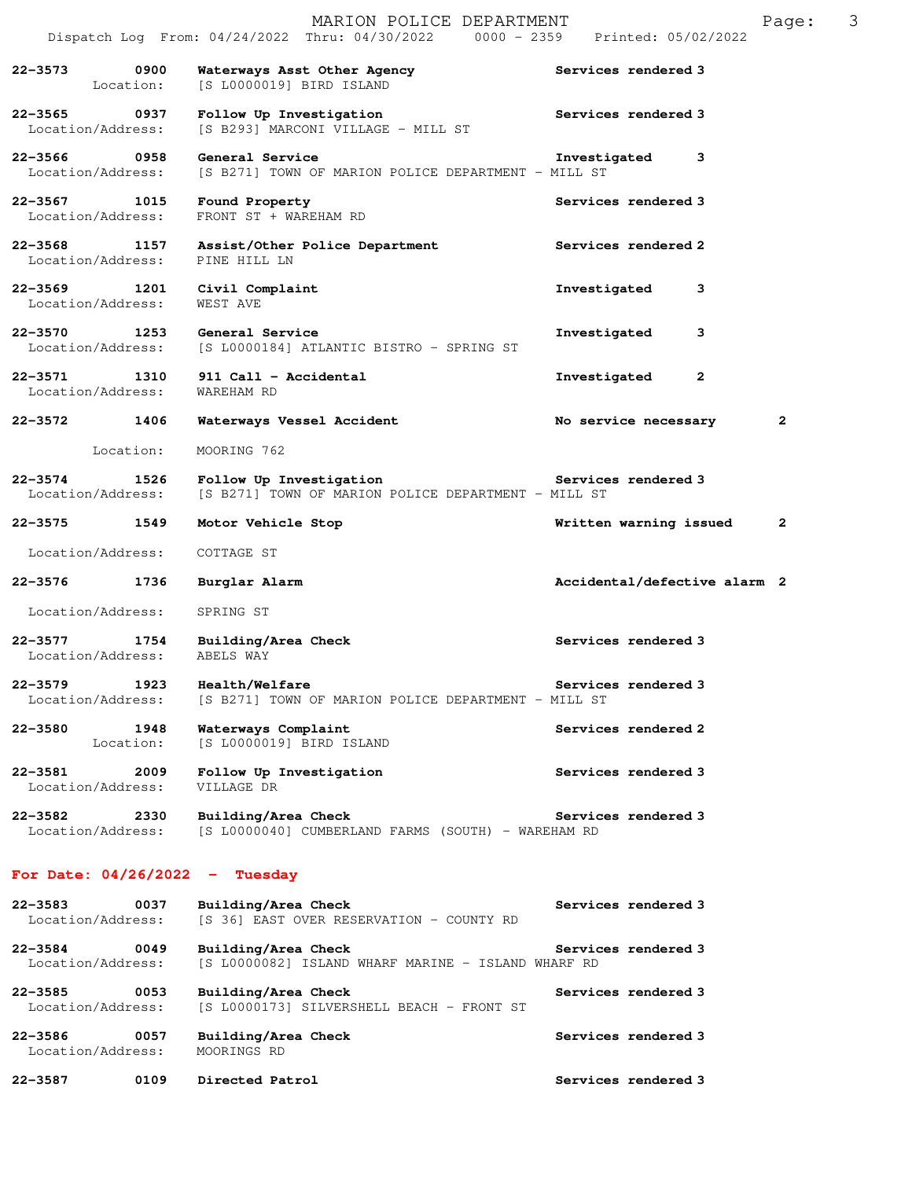|                                   |           | MARION POLICE DEPARTMENT<br>Dispatch Log From: 04/24/2022 Thru: 04/30/2022 0000 - 2359 Printed: 05/02/2022 |                                | Page:        | 3 |
|-----------------------------------|-----------|------------------------------------------------------------------------------------------------------------|--------------------------------|--------------|---|
| 22-3573 0900<br>Location:         |           | Waterways Asst Other Agency<br>[S L0000019] BIRD ISLAND                                                    | Services rendered 3            |              |   |
| 22-3565 0937<br>Location/Address: |           | Follow Up Investigation<br>[S B293] MARCONI VILLAGE - MILL ST                                              | Services rendered 3            |              |   |
| 22-3566 0958<br>Location/Address: |           | General Service<br>[S B271] TOWN OF MARION POLICE DEPARTMENT - MILL ST                                     | 3<br>Investigated              |              |   |
| 22-3567 1015<br>Location/Address: |           | Found Property<br>FRONT ST + WAREHAM RD                                                                    | Services rendered 3            |              |   |
| 22–3568 1157<br>Location/Address: |           | Assist/Other Police Department<br>PINE HILL LN                                                             | Services rendered 2            |              |   |
| 22-3569 1201<br>Location/Address: |           | Civil Complaint<br>WEST AVE                                                                                | Investigated<br>3              |              |   |
| 22-3570 1253<br>Location/Address: |           | General Service<br>[S L0000184] ATLANTIC BISTRO - SPRING ST                                                | 3<br>Investigated              |              |   |
| 22-3571 1310<br>Location/Address: |           | 911 Call - Accidental<br>WAREHAM RD                                                                        | $\overline{2}$<br>Investigated |              |   |
| $22 - 3572$                       | 1406      | Waterways Vessel Accident                                                                                  | No service necessary           | $\mathbf{2}$ |   |
|                                   | Location: | MOORING 762                                                                                                |                                |              |   |
| $22 - 3574$<br>Location/Address:  | 1526      | Follow Up Investigation<br>[S B271] TOWN OF MARION POLICE DEPARTMENT - MILL ST                             | Services rendered 3            |              |   |
| 22–3575 1549                      |           | Motor Vehicle Stop                                                                                         | Written warning issued         | $\mathbf{2}$ |   |
| Location/Address:                 |           | COTTAGE ST                                                                                                 |                                |              |   |
| 22-3576                           | 1736      | Burglar Alarm                                                                                              | Accidental/defective alarm 2   |              |   |
| Location/Address:                 |           | SPRING ST                                                                                                  |                                |              |   |
| 22–3577 1754<br>Location/Address: |           | Building/Area Check<br>ABELS WAY                                                                           | Services rendered 3            |              |   |
| $22 - 3579$<br>Location/Address:  | 1923      | Health/Welfare<br>[S B271] TOWN OF MARION POLICE DEPARTMENT - MILL ST                                      | Services rendered 3            |              |   |
| 22-3580<br>Location:              | 1948      | Waterways Complaint<br>[S L0000019] BIRD ISLAND                                                            | Services rendered 2            |              |   |
| 22-3581<br>Location/Address:      | 2009      | Follow Up Investigation<br>VILLAGE DR                                                                      | Services rendered 3            |              |   |
| 22-3582<br>Location/Address:      | 2330      | Building/Area Check<br>[S L0000040] CUMBERLAND FARMS (SOUTH) - WAREHAM RD                                  | Services rendered 3            |              |   |
| For Date: $04/26/2022 - Tuesday$  |           |                                                                                                            |                                |              |   |
| $22 - 3583$<br>Location/Address:  | 0037      | Building/Area Check<br>[S 36] EAST OVER RESERVATION - COUNTY RD                                            | Services rendered 3            |              |   |
| $22 - 3584$<br>Location/Address:  | 0049      | Building/Area Check<br>[S L0000082] ISLAND WHARF MARINE - ISLAND WHARF RD                                  | Services rendered 3            |              |   |
| $22 - 3585$<br>Location/Address:  | 0053      | Building/Area Check<br>[S L0000173] SILVERSHELL BEACH - FRONT ST                                           | Services rendered 3            |              |   |
| 22-3586<br>Location/Address:      | 0057      | Building/Area Check<br>MOORINGS RD                                                                         | Services rendered 3            |              |   |

**22-3587 0109 Directed Patrol Services rendered 3**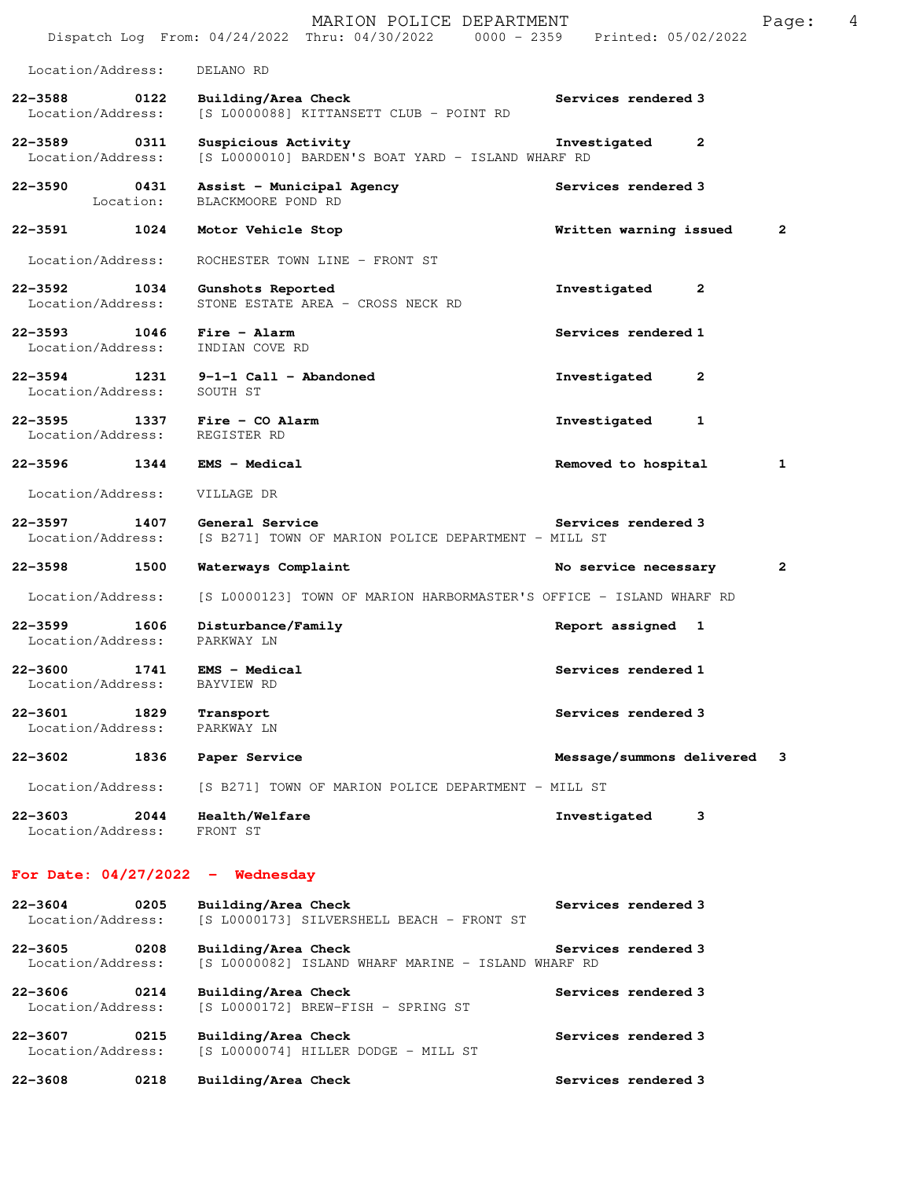|                                   |                   | MARION POLICE DEPARTMENT<br>Dispatch Log From: 04/24/2022 Thru: 04/30/2022 0000 - 2359 Printed: 05/02/2022 |                              | 4<br>Page: |
|-----------------------------------|-------------------|------------------------------------------------------------------------------------------------------------|------------------------------|------------|
| Location/Address:                 |                   | DELANO RD                                                                                                  |                              |            |
| $22 - 3588$<br>Location/Address:  | 0122              | Building/Area Check<br>[S L0000088] KITTANSETT CLUB - POINT RD                                             | Services rendered 3          |            |
| $22 - 3589$<br>Location/Address:  | 0311              | Suspicious Activity<br>[S L0000010] BARDEN'S BOAT YARD - ISLAND WHARF RD                                   | Investigated<br>2            |            |
| $22 - 3590$                       | 0431<br>Location: | Assist - Municipal Agency<br>BLACKMOORE POND RD                                                            | Services rendered 3          |            |
| 22-3591                           | 1024              | Motor Vehicle Stop                                                                                         | Written warning issued       | 2          |
| Location/Address:                 |                   | ROCHESTER TOWN LINE - FRONT ST                                                                             |                              |            |
| 22-3592<br>Location/Address:      | 1034              | Gunshots Reported<br>STONE ESTATE AREA - CROSS NECK RD                                                     | $\mathbf{2}$<br>Investigated |            |
| 22-3593 1046<br>Location/Address: |                   | Fire - Alarm<br>INDIAN COVE RD                                                                             | Services rendered 1          |            |
| Location/Address:                 |                   | $22-3594$ 1231 9-1-1 Call - Abandoned<br>SOUTH ST                                                          | Investigated<br>2            |            |
| $22 - 3595$<br>Location/Address:  | 1337              | Fire - CO Alarm<br>REGISTER RD                                                                             | Investigated<br>1            |            |
| 22–3596 1344                      |                   | EMS - Medical                                                                                              | Removed to hospital          | 1          |
| Location/Address:                 |                   | VILLAGE DR                                                                                                 |                              |            |
| $22 - 3597$<br>Location/Address:  | 1407              | General Service<br>[S B271] TOWN OF MARION POLICE DEPARTMENT - MILL ST                                     | Services rendered 3          |            |
| 22-3598                           | 1500              | Waterways Complaint                                                                                        | No service necessary         | 2          |
| Location/Address:                 |                   | [S L0000123] TOWN OF MARION HARBORMASTER'S OFFICE - ISLAND WHARF RD                                        |                              |            |
| 22-3599<br>Location/Address:      | 1606              | Disturbance/Family<br>PARKWAY LN                                                                           | Report assigned 1            |            |
| 22-3600<br>Location/Address:      | 1741              | EMS - Medical<br>BAYVIEW RD                                                                                | Services rendered 1          |            |
| $22 - 3601$<br>Location/Address:  | 1829              | Transport<br>PARKWAY LN                                                                                    | Services rendered 3          |            |
| 22-3602                           | 1836              | Paper Service                                                                                              | Message/summons delivered    | 3          |
| Location/Address:                 |                   | [S B271] TOWN OF MARION POLICE DEPARTMENT - MILL ST                                                        |                              |            |
| $22 - 3603$<br>Location/Address:  | 2044              | Health/Welfare<br>FRONT ST                                                                                 | Investigated<br>з            |            |
|                                   |                   | For Date: $04/27/2022 -$ Wednesday                                                                         |                              |            |
| $22 - 3604$<br>Location/Address:  | 0205              | Building/Area Check<br>[S L0000173] SILVERSHELL BEACH - FRONT ST                                           | Services rendered 3          |            |

**22-3605 0208 Building/Area Check Services rendered 3**  Location/Address: [S L0000082] ISLAND WHARF MARINE - ISLAND WHARF RD

**22-3606 0214 Building/Area Check Services rendered 3**  Location/Address: [S L0000172] BREW-FISH - SPRING ST **22-3607 0215 Building/Area Check Services rendered 3** 

 Location/Address: [S L0000074] HILLER DODGE - MILL ST **22-3608 0218 Building/Area Check Services rendered 3**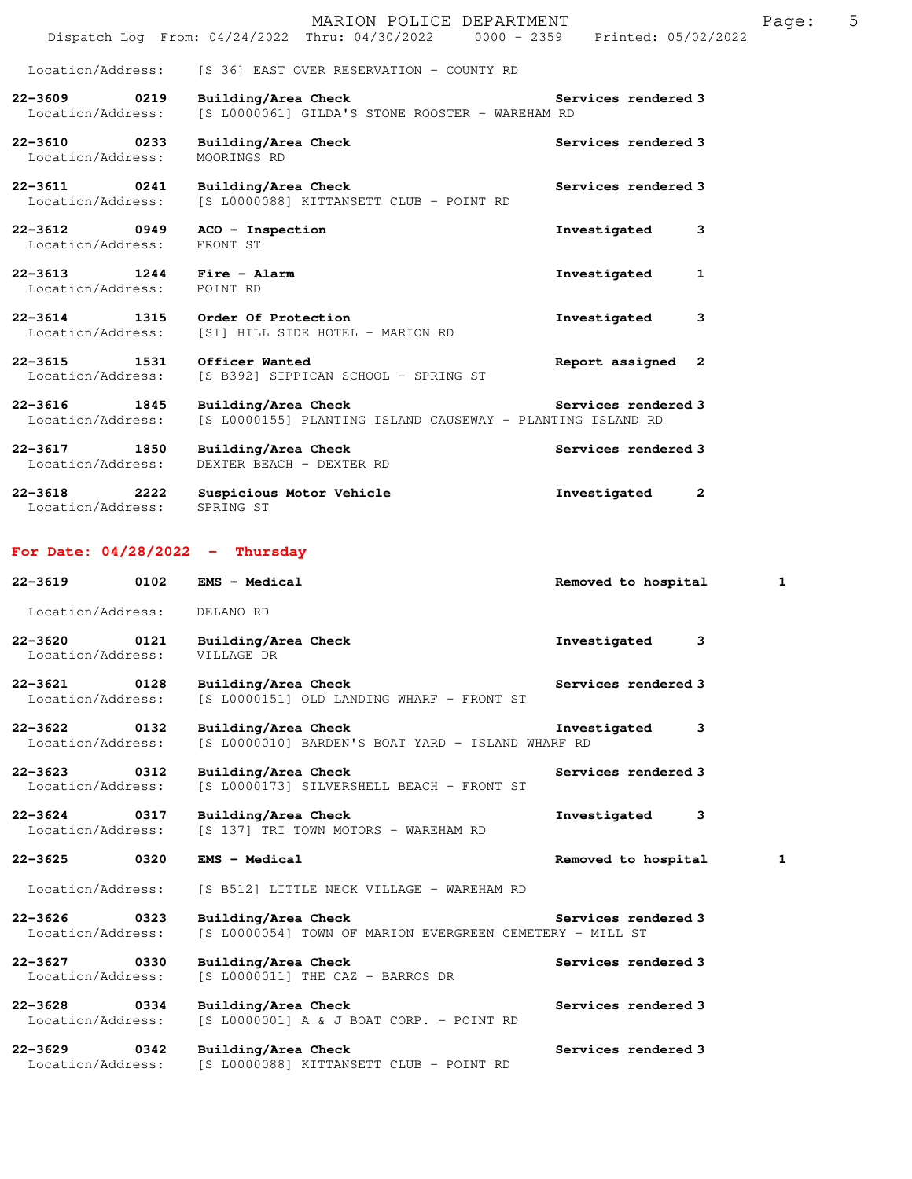|                                                         | MARION POLICE DEPARTMENT<br>Dispatch Log From: 04/24/2022 Thru: 04/30/2022 0000 - 2359 Printed: 05/02/2022 | Page: 5                      |  |
|---------------------------------------------------------|------------------------------------------------------------------------------------------------------------|------------------------------|--|
| Location/Address:                                       | [S 36] EAST OVER RESERVATION - COUNTY RD                                                                   |                              |  |
| 22-3609 0219<br>Location/Address:                       | Building/Area Check<br>[S L0000061] GILDA'S STONE ROOSTER - WAREHAM RD                                     | Services rendered 3          |  |
| 22-3610 0233<br>Location/Address:                       | Building/Area Check<br>MOORINGS RD                                                                         | Services rendered 3          |  |
| 22-3611 0241<br>Location/Address:                       | Building/Area Check<br>[S L0000088] KITTANSETT CLUB - POINT RD                                             | Services rendered 3          |  |
| 22-3612 0949<br>Location/Address:                       | ACO - Inspection<br>FRONT ST                                                                               | Investigated<br>3            |  |
| 22-3613 1244 Fire - Alarm<br>Location/Address: POINT RD |                                                                                                            | Investigated<br>1            |  |
| Location/Address:                                       | 22-3614 1315 Order Of Protection<br>[S1] HILL SIDE HOTEL - MARION RD                                       | Investigated<br>3            |  |
| 22-3615 1531<br>Location/Address:                       | Officer Wanted<br>[S B392] SIPPICAN SCHOOL - SPRING ST                                                     | Report assigned 2            |  |
| 22-3616 1845<br>Location/Address:                       | Building/Area Check<br>[S L0000155] PLANTING ISLAND CAUSEWAY - PLANTING ISLAND RD                          | Services rendered 3          |  |
| 22-3617 1850<br>Location/Address:                       | Building/Area Check<br>DEXTER BEACH - DEXTER RD                                                            | Services rendered 3          |  |
| Location/Address: SPRING ST                             | 22-3618 2222 Suspicious Motor Vehicle                                                                      | Investigated<br>$\mathbf{2}$ |  |
| For Date: $04/28/2022 - Thursday$                       |                                                                                                            |                              |  |
| 22-3619 0102 EMS - Medical                              |                                                                                                            | Removed to hospital<br>1     |  |
| $\tau$ $(1, 1)$ $\tau$ $(2, 1)$                         |                                                                                                            |                              |  |

| Location/Address:                 | DELANO RD                                                                                               |                                     |
|-----------------------------------|---------------------------------------------------------------------------------------------------------|-------------------------------------|
| 22-3620 0121<br>Location/Address: | Building/Area Check<br>VILLAGE DR                                                                       | 3<br>Investigated                   |
| 22-3621 0128<br>Location/Address: | Building/Area Check<br>[S L0000151] OLD LANDING WHARF - FRONT ST                                        | Services rendered 3                 |
| 22-3622 0132<br>Location/Address: | Building/Area Check<br>[S L0000010] BARDEN'S BOAT YARD - ISLAND WHARF RD                                | Investigated<br>3                   |
| 22-3623 0312<br>Location/Address: | Building/Area Check<br>[S L0000173] SILVERSHELL BEACH - FRONT ST                                        | Services rendered 3                 |
| 22-3624 0317<br>Location/Address: | Building/Area Check<br>[S 137] TRI TOWN MOTORS - WAREHAM RD                                             | Investigated<br>3                   |
|                                   |                                                                                                         |                                     |
| 0320<br>$22 - 3625$               | EMS - Medical                                                                                           | $\mathbf{1}$<br>Removed to hospital |
| Location/Address:                 | [S B512] LITTLE NECK VILLAGE - WAREHAM RD                                                               |                                     |
| 22-3626 0323<br>Location/Address: | Building/Area Check and Services rendered 3<br>[S L0000054] TOWN OF MARION EVERGREEN CEMETERY - MILL ST |                                     |
| 22-3627 0330<br>Location/Address: | Building/Area Check<br>[S L0000011] THE CAZ - BARROS DR                                                 | Services rendered 3                 |
| 22-3628 0334<br>Location/Address: | Building/Area Check<br>[S L0000001] A & J BOAT CORP. - POINT RD                                         | Services rendered 3                 |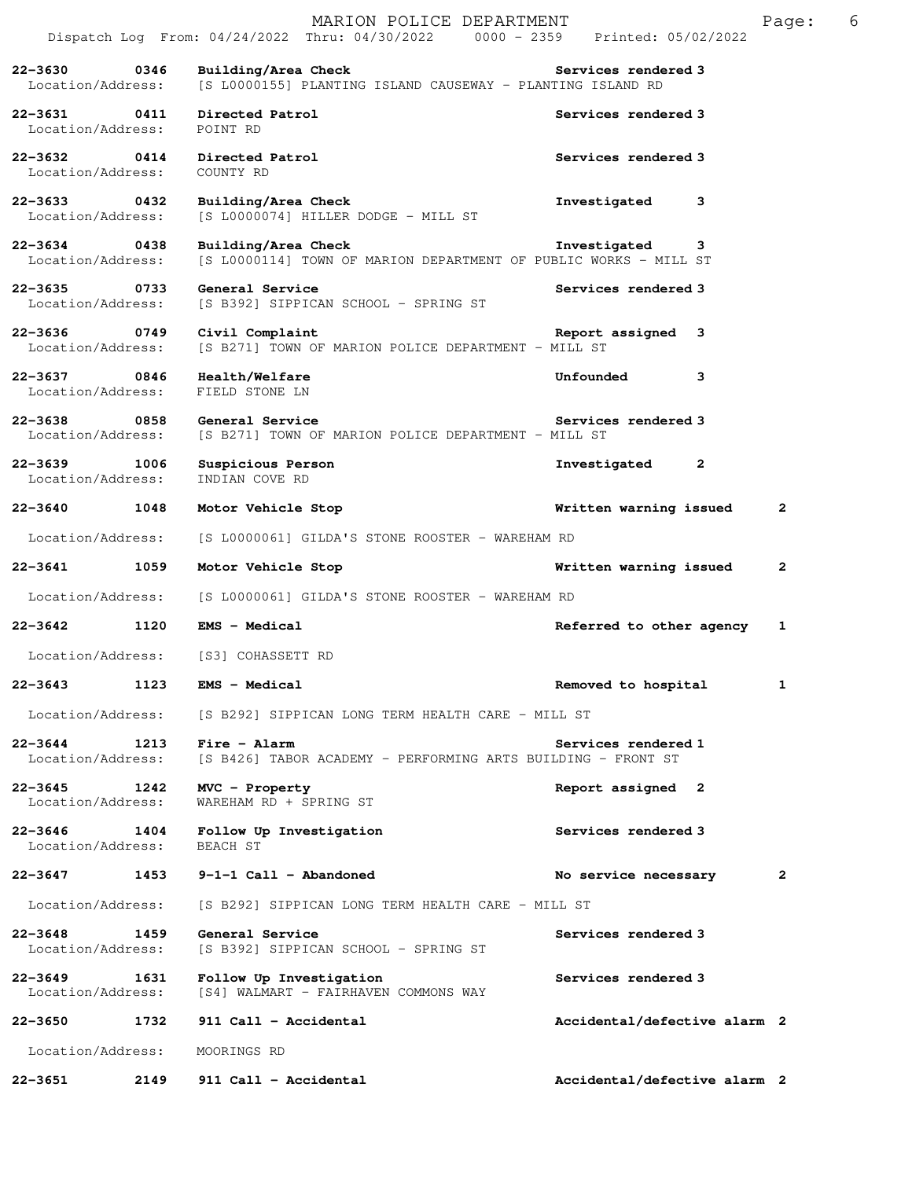|                                   |             | MARION POLICE DEPARTMENT<br>Dispatch Log From: 04/24/2022 Thru: 04/30/2022 0000 - 2359 Printed: 05/02/2022 |                              | Page: | 6 |
|-----------------------------------|-------------|------------------------------------------------------------------------------------------------------------|------------------------------|-------|---|
| 22-3630<br>Location/Address:      | 0346        | Building/Area Check<br>[S L0000155] PLANTING ISLAND CAUSEWAY - PLANTING ISLAND RD                          | Services rendered 3          |       |   |
| 22-3631 0411<br>Location/Address: |             | Directed Patrol<br>POINT RD                                                                                | Services rendered 3          |       |   |
| 22-3632 0414<br>Location/Address: |             | Directed Patrol<br>COUNTY RD                                                                               | Services rendered 3          |       |   |
| 22-3633 0432<br>Location/Address: |             | Building/Area Check<br>$[S L0000074]$ HILLER DODGE - MILL ST                                               | Investigated<br>3            |       |   |
| 22-3634<br>Location/Address:      | $\sim$ 0438 | Building/Area Check<br>[S L0000114] TOWN OF MARION DEPARTMENT OF PUBLIC WORKS - MILL ST                    | Investigated<br>3            |       |   |
| 22-3635 0733<br>Location/Address: |             | General Service<br>[S B392] SIPPICAN SCHOOL - SPRING ST                                                    | Services rendered 3          |       |   |
| $22 - 3636$<br>Location/Address:  | $\sim$ 0749 | Civil Complaint<br>[S B271] TOWN OF MARION POLICE DEPARTMENT - MILL ST                                     | Report assigned 3            |       |   |
| 22-3637 0846<br>Location/Address: |             | Health/Welfare<br>FIELD STONE LN                                                                           | Unfounded<br>3               |       |   |
| 22-3638 0858<br>Location/Address: |             | General Service<br>[S B271] TOWN OF MARION POLICE DEPARTMENT - MILL ST                                     | Services rendered 3          |       |   |
| $22 - 3639$<br>Location/Address:  | 1006        | Suspicious Person<br>INDIAN COVE RD                                                                        | Investigated<br>$\mathbf{2}$ |       |   |
| 22-3640                           | 1048        | Motor Vehicle Stop                                                                                         | Written warning issued       | 2     |   |
| Location/Address:                 |             | [S L0000061] GILDA'S STONE ROOSTER - WAREHAM RD                                                            |                              |       |   |
| 22-3641                           | 1059        | Motor Vehicle Stop                                                                                         | Written warning issued       | 2     |   |
| Location/Address:                 |             | [S L0000061] GILDA'S STONE ROOSTER - WAREHAM RD                                                            |                              |       |   |
| 22-3642                           | 1120        | <b>EMS - Medical</b>                                                                                       | Referred to other agency     | 1     |   |
| Location/Address:                 |             | [S3] COHASSETT RD                                                                                          |                              |       |   |
| 22-3643                           | 1123        | EMS - Medical                                                                                              | Removed to hospital          | 1     |   |
| Location/Address:                 |             | [S B292] SIPPICAN LONG TERM HEALTH CARE - MILL ST                                                          |                              |       |   |
| 22-3644<br>Location/Address:      | 1213        | Fire - Alarm<br>[S B426] TABOR ACADEMY - PERFORMING ARTS BUILDING - FRONT ST                               | Services rendered 1          |       |   |
| 22-3645<br>Location/Address:      | 1242        | MVC - Property<br>WAREHAM RD + SPRING ST                                                                   | Report assigned 2            |       |   |
| $22 - 3646$<br>Location/Address:  | 1404        | Follow Up Investigation<br>BEACH ST                                                                        | Services rendered 3          |       |   |
| 22-3647                           | 1453        | $9-1-1$ Call - Abandoned                                                                                   | No service necessary         | 2     |   |
| Location/Address:                 |             | [S B292] SIPPICAN LONG TERM HEALTH CARE - MILL ST                                                          |                              |       |   |
| $22 - 3648$<br>Location/Address:  | 1459        | General Service<br>[S B392] SIPPICAN SCHOOL - SPRING ST                                                    | Services rendered 3          |       |   |
| $22 - 3649$<br>Location/Address:  | 1631        | Follow Up Investigation<br>[S4] WALMART - FAIRHAVEN COMMONS WAY                                            | Services rendered 3          |       |   |
| $22 - 3650$                       | 1732        | 911 Call - Accidental                                                                                      | Accidental/defective alarm 2 |       |   |
| Location/Address:                 |             | MOORINGS RD                                                                                                |                              |       |   |
| 22-3651                           | 2149        | 911 Call - Accidental                                                                                      | Accidental/defective alarm 2 |       |   |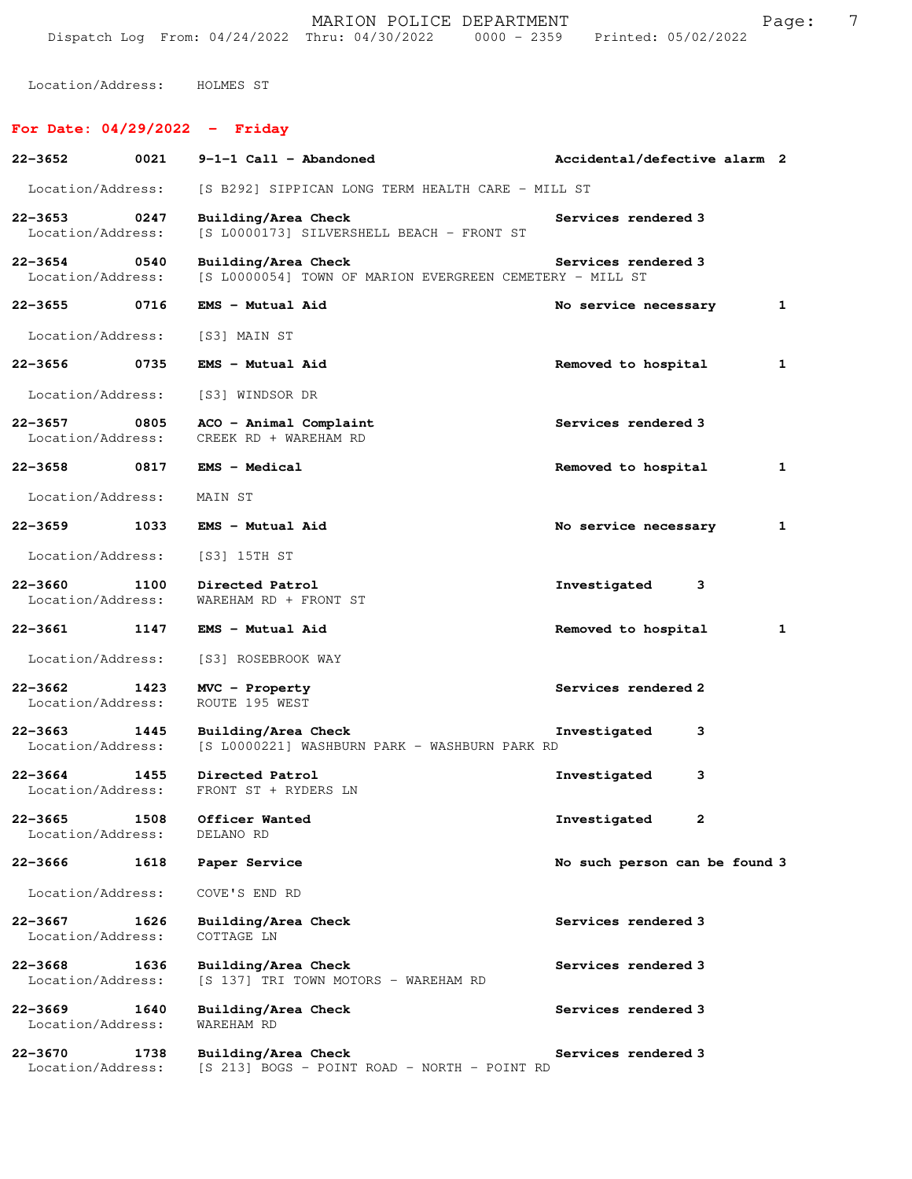Location/Address: HOLMES ST

## **For Date: 04/29/2022 - Friday**

| 22-3652                          | 0021 | $9-1-1$ Call - Abandoned                                                        | Accidental/defective alarm 2  |
|----------------------------------|------|---------------------------------------------------------------------------------|-------------------------------|
| Location/Address:                |      | [S B292] SIPPICAN LONG TERM HEALTH CARE - MILL ST                               |                               |
| $22 - 3653$<br>Location/Address: | 0247 | Building/Area Check<br>[S L0000173] SILVERSHELL BEACH - FRONT ST                | Services rendered 3           |
| $22 - 3654$<br>Location/Address: | 0540 | Building/Area Check<br>[S L0000054] TOWN OF MARION EVERGREEN CEMETERY - MILL ST | Services rendered 3           |
| $22 - 3655$                      | 0716 | EMS - Mutual Aid                                                                | 1<br>No service necessary     |
| Location/Address:                |      | [S3] MAIN ST                                                                    |                               |
| 22-3656                          | 0735 | EMS - Mutual Aid                                                                | 1<br>Removed to hospital      |
| Location/Address:                |      | [S3] WINDSOR DR                                                                 |                               |
| $22 - 3657$<br>Location/Address: | 0805 | ACO - Animal Complaint<br>CREEK RD + WAREHAM RD                                 | Services rendered 3           |
| 22-3658                          | 0817 | <b>EMS - Medical</b>                                                            | 1<br>Removed to hospital      |
| Location/Address:                |      | MAIN ST                                                                         |                               |
| 22-3659                          | 1033 | EMS - Mutual Aid                                                                | No service necessary<br>1     |
| Location/Address:                |      | [S3] 15TH ST                                                                    |                               |
| $22 - 3660$<br>Location/Address: | 1100 | Directed Patrol<br>WAREHAM RD + FRONT ST                                        | Investigated<br>3             |
| 22-3661                          | 1147 | EMS - Mutual Aid                                                                | Removed to hospital<br>1      |
| Location/Address:                |      | [S3] ROSEBROOK WAY                                                              |                               |
| $22 - 3662$<br>Location/Address: | 1423 | MVC - Property<br>ROUTE 195 WEST                                                | Services rendered 2           |
| 22-3663<br>Location/Address:     | 1445 | Building/Area Check<br>[S L0000221] WASHBURN PARK - WASHBURN PARK RD            | Investigated<br>3             |
| $22 - 3664$<br>Location/Address: | 1455 | Directed Patrol<br>FRONT ST + RYDERS LN                                         | Investigated<br>з             |
| Location/Address:                |      | 22-3665 1508 Officer Wanted<br>DELANO RD                                        | Investigated<br>$\mathbf{2}$  |
| 22-3666                          | 1618 | Paper Service                                                                   | No such person can be found 3 |
| Location/Address:                |      | COVE'S END RD                                                                   |                               |
| $22 - 3667$<br>Location/Address: | 1626 | Building/Area Check<br>COTTAGE LN                                               | Services rendered 3           |
| 22-3668<br>Location/Address:     | 1636 | Building/Area Check<br>[S 137] TRI TOWN MOTORS - WAREHAM RD                     | Services rendered 3           |
| $22 - 3669$<br>Location/Address: | 1640 | Building/Area Check<br>WAREHAM RD                                               | Services rendered 3           |
| 22-3670<br>Location/Address:     | 1738 | Building/Area Check<br>[S 213] BOGS - POINT ROAD - NORTH - POINT RD             | Services rendered 3           |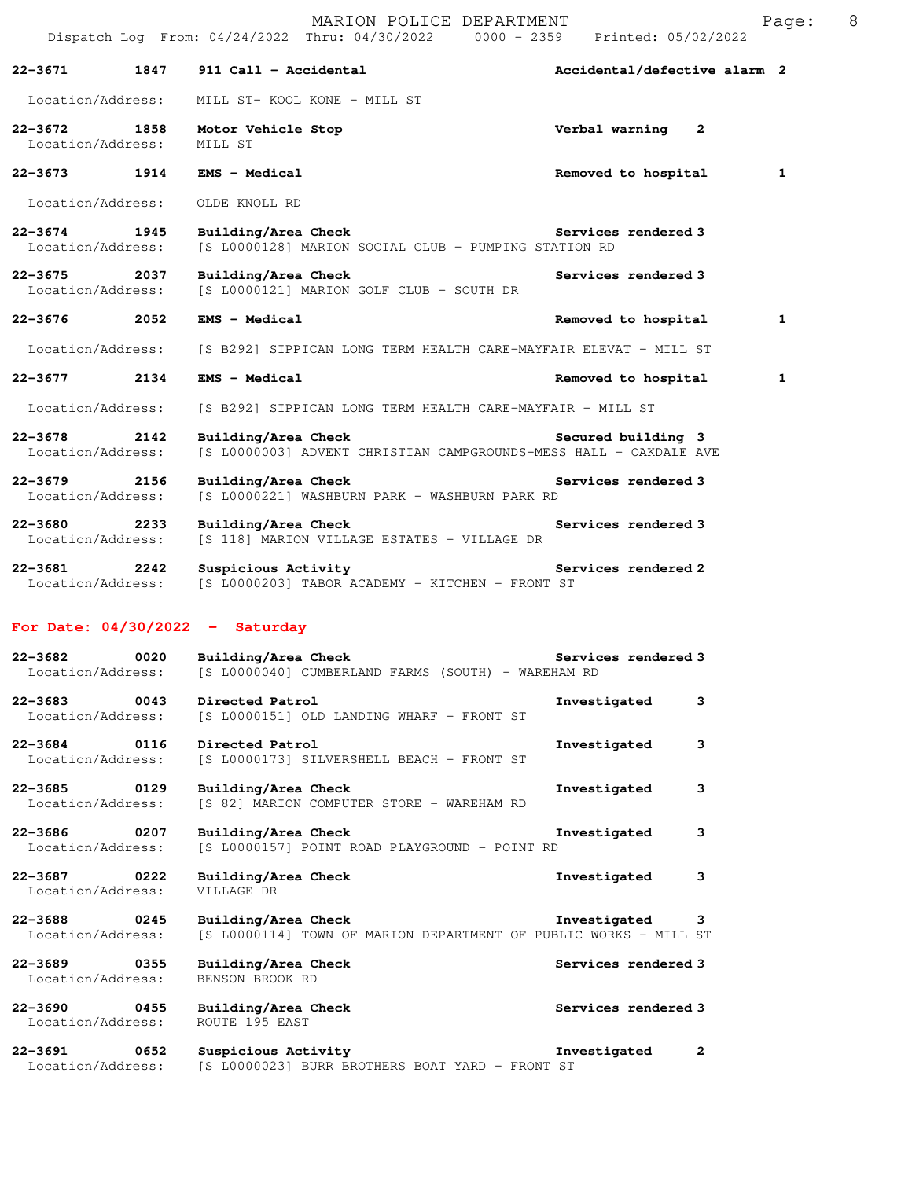|                                      |      |                                        | MARION POLICE DEPARTMENT<br>Dispatch Log From: 04/24/2022 Thru: 04/30/2022 0000 - 2359 Printed: 05/02/2022 |                |                              |              | Pag          |
|--------------------------------------|------|----------------------------------------|------------------------------------------------------------------------------------------------------------|----------------|------------------------------|--------------|--------------|
| 22-3671                              | 1847 | 911 Call - Accidental                  |                                                                                                            |                | Accidental/defective alarm 2 |              |              |
| Location/Address:                    |      |                                        | MILL ST- KOOL KONE - MILL ST                                                                               |                |                              |              |              |
| $22 - 3672$<br>Location/Address:     | 1858 | Motor Vehicle Stop<br>MILL ST          |                                                                                                            | Verbal warning |                              | $\mathbf{2}$ |              |
| $22 - 3673$                          | 1914 | EMS - Medical                          |                                                                                                            |                | Removed to hospital          |              | $\mathbf{1}$ |
| Location/Address:                    |      | OLDE KNOLL RD                          |                                                                                                            |                |                              |              |              |
| $22 - 3674$<br>Location/Address:     | 1945 | Building/Area Check                    | [S L0000128] MARION SOCIAL CLUB - PUMPING STATION RD                                                       |                | Services rendered 3          |              |              |
| 22–3675 2037<br>Location/Address:    |      | Building/Area Check                    | [S L0000121] MARION GOLF CLUB - SOUTH DR                                                                   |                | Services rendered 3          |              |              |
| 22-3676                              | 2052 | <b>EMS - Medical</b>                   |                                                                                                            |                | Removed to hospital          |              | $\mathbf{1}$ |
| Location/Address:                    |      |                                        | [S B292] SIPPICAN LONG TERM HEALTH CARE-MAYFAIR ELEVAT - MILL ST                                           |                |                              |              |              |
| $22 - 3677$                          | 2134 | EMS - Medical                          |                                                                                                            |                | Removed to hospital          |              | $\mathbf{1}$ |
| Location/Address:                    |      |                                        | [S B292] SIPPICAN LONG TERM HEALTH CARE-MAYFAIR - MILL ST                                                  |                |                              |              |              |
| 22-3678<br>Location/Address:         | 2142 | Building/Area Check                    | [S L0000003] ADVENT CHRISTIAN CAMPGROUNDS-MESS HALL - OAKDALE AVE                                          |                | Secured building 3           |              |              |
| 22-3679<br>Location/Address:         | 2156 | Building/Area Check                    | [S L0000221] WASHBURN PARK - WASHBURN PARK RD                                                              |                | Services rendered 3          |              |              |
| 22-3680<br>2233<br>Location/Address: |      | Building/Area Check                    | [S 118] MARION VILLAGE ESTATES - VILLAGE DR                                                                |                | Services rendered 3          |              |              |
| $22 - 3681$<br>Location/Address:     | 2242 | Suspicious Activity                    | [S L0000203] TABOR ACADEMY - KITCHEN - FRONT ST                                                            |                | Services rendered 2          |              |              |
| For Date: $04/30/2022 - Saturday$    |      |                                        |                                                                                                            |                |                              |              |              |
| $22 - 3682$<br>Location/Address:     | 0020 | Building/Area Check                    | [S L0000040] CUMBERLAND FARMS (SOUTH) - WAREHAM RD                                                         |                | Services rendered 3          |              |              |
| 22-3683<br>Location/Address:         | 0043 | Directed Patrol                        | [S L0000151] OLD LANDING WHARF - FRONT ST                                                                  | Investigated   |                              | 3            |              |
| $22 - 3684$<br>Location/Address:     | 0116 | Directed Patrol                        | [S L0000173] SILVERSHELL BEACH - FRONT ST                                                                  | Investigated   |                              | 3            |              |
| $22 - 3685$<br>Location/Address:     | 0129 | Building/Area Check                    | [S 82] MARION COMPUTER STORE - WAREHAM RD                                                                  | Investigated   |                              | 3            |              |
| 22-3686<br>Location/Address:         | 0207 | Building/Area Check                    | [S L0000157] POINT ROAD PLAYGROUND - POINT RD                                                              | Investigated   |                              | 3            |              |
| $22 - 3687$<br>Location/Address:     | 0222 | Building/Area Check<br>VILLAGE DR      |                                                                                                            | Investigated   |                              | 3            |              |
| 22-3688<br>Location/Address:         | 0245 | Building/Area Check                    | [S L0000114] TOWN OF MARION DEPARTMENT OF PUBLIC WORKS - MILL ST                                           | Investigated   |                              | 3            |              |
| $22 - 3689$<br>Location/Address:     | 0355 | Building/Area Check<br>BENSON BROOK RD |                                                                                                            |                | Services rendered 3          |              |              |
| 22-3690<br>Location/Address:         | 0455 | Building/Area Check<br>ROUTE 195 EAST  |                                                                                                            |                | Services rendered 3          |              |              |
| 22-3691                              | 0652 | Suspicious Activity                    |                                                                                                            | Investigated   |                              | 2            |              |

Location/Address: [S L0000023] BURR BROTHERS BOAT YARD - FRONT ST

ge: 8